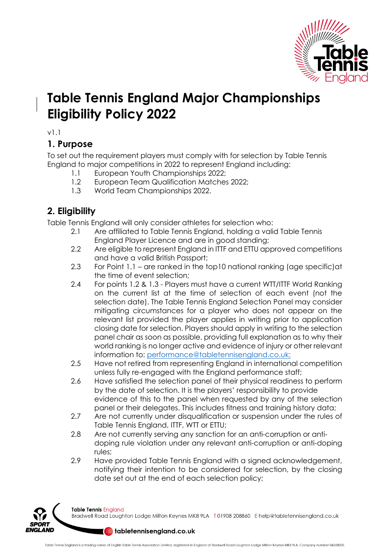

## **Table Tennis England Major Championships Eligibility Policy 2022**

v1.1

## **1. Purpose**

To set out the requirement players must comply with for selection by Table Tennis England to major competitions in 2022 to represent England including:

- 1.1 European Youth Championships 2022;
- 1.2 European Team Qualification Matches 2022;
- 1.3 World Team Championships 2022.

## **2. Eligibility**

Table Tennis England will only consider athletes for selection who:

- 2.1 Are affiliated to Table Tennis England, holding a valid Table Tennis England Player Licence and are in good standing;
- 2.2 Are eligible to represent England in ITTF and ETTU approved competitions and have a valid British Passport;
- 2.3 For Point 1.1 are ranked in the top10 national ranking (age specific)at the time of event selection;
- 2.4 For points 1.2 & 1.3 Players must have a current WTT/ITTF World Ranking on the current list at the time of selection of each event (not the selection date). The Table Tennis England Selection Panel may consider mitigating circumstances for a player who does not appear on the relevant list provided the player applies in writing prior to application closing date for selection. Players should apply in writing to the selection panel chair as soon as possible, providing full explanation as to why their world ranking is no longer active and evidence of injury or other relevant information to: performance@tabletennisengland.co.uk;
- 2.5 Have not retired from representing England in international competition unless fully re-engaged with the England performance staff;
- 2.6 Have satisfied the selection panel of their physical readiness to perform by the date of selection. It is the players' responsibility to provide evidence of this to the panel when requested by any of the selection panel or their delegates. This includes fitness and training history data;
- 2.7 Are not currently under disqualification or suspension under the rules of Table Tennis England, ITTF, WTT or ETTU;
- 2.8 Are not currently serving any sanction for an anti-corruption or antidoping rule violation under any relevant anti-corruption or anti-doping rules;
- 2.9 Have provided Table Tennis England with a signed acknowledgement, notifying their intention to be considered for selection, by the closing date set out at the end of each selection policy;



Table Tennis England Bradwell Road Loughton Lodge Milton Keynes MK8 9LA T01908 208860 Ehelp@tabletennisengland.co.uk